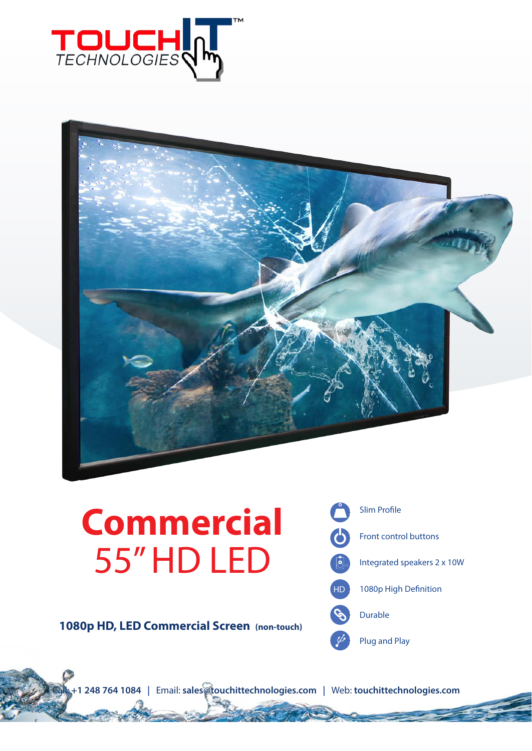



# **Commercial** 55" HD LED

**1080p HD, LED Commercial Screen (non-touch)**



Call: **+1 248 764 1084 |** Email: **sales@touchittechnologies.com |** Web: **touchittechnologies.com**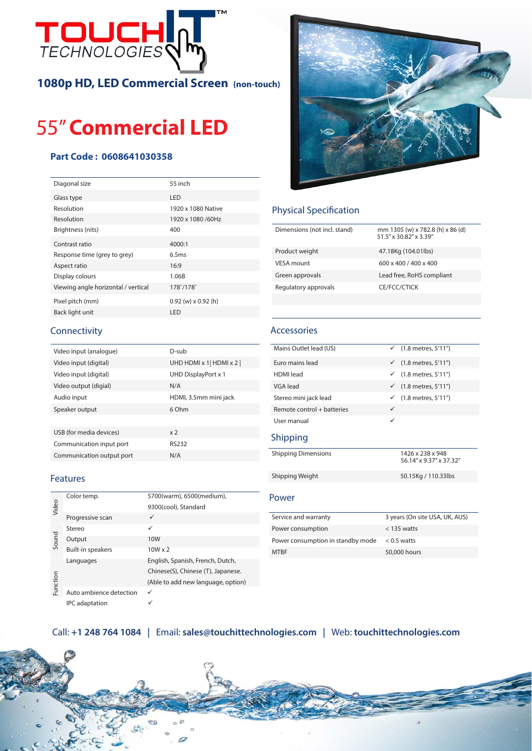

**1080p HD, LED Commercial Screen (non-touch)**

# 55" **Commercial LED**

### **Part Code : 0608641030358**

| Diagonal size                       | 55 inch                 |
|-------------------------------------|-------------------------|
| Glass type                          | LED                     |
| Resolution                          | 1920 x 1080 Native      |
| Resolution                          | 1920 x 1080 /60Hz       |
| Brightness (nits)                   | 400                     |
| Contrast ratio                      | 4000:1                  |
| Response time (grey to grey)        | 6.5ms                   |
| Aspect ratio                        | 16:9                    |
| Display colours                     | 1.06B                   |
| Viewing angle horizontal / vertical | 178°/178°               |
| Pixel pitch (mm)                    | $0.92$ (w) x $0.92$ (h) |
| Back light unit                     | LED                     |
|                                     |                         |



| Video input (analogue)    | D-sub                               |
|---------------------------|-------------------------------------|
| Video input (digital)     | UHD HDMI $\times$ 1 HDMI $\times$ 2 |
| Video input (digital)     | UHD DisplayPort x 1                 |
| Video output (digial)     | N/A                                 |
| Audio input               | HDMI, 3.5mm mini jack               |
| Speaker output            | 6 Ohm                               |
|                           |                                     |
| USB (for media devices)   | x <sub>2</sub>                      |
| Communication input port  | <b>RS232</b>                        |
| Communication output port | N/A                                 |

### Features

| Video    | Color temp.              | 5700(warm), 6500(medium),          |
|----------|--------------------------|------------------------------------|
|          |                          | 9300(cool), Standard               |
|          | Progressive scan         | ✓                                  |
| Sound    | Stereo                   | ✓                                  |
|          | Output                   | 10 <sub>W</sub>                    |
|          | <b>Built-in speakers</b> | $10W \times 2$                     |
| Function | Languages                | English, Spanish, French, Dutch,   |
|          |                          | Chinese(S), Chinese (T), Japanese. |
|          |                          | (Able to add new language, option) |
|          | Auto ambience detection  |                                    |
|          | <b>IPC</b> adaptation    |                                    |



## Physical Specification

| Dimensions (not incl. stand) | mm 1305 (w) x 782.8 (h) x 86 (d)<br>51.5" x 30.82" x 3.39" |
|------------------------------|------------------------------------------------------------|
| Product weight               | 47.18Kg (104.01lbs)                                        |
| VESA mount                   | 600 x 400 / 400 x 400                                      |
| Green approvals              | Lead free, RoHS compliant                                  |
| Regulatory approvals         | CE/FCC/CTICK                                               |

#### Accessories

| Mains Outlet lead (US)     | ✓ $(1.8$ metres, 5'11")                     |
|----------------------------|---------------------------------------------|
| Euro mains lead            | $(1.8$ metres, $5'11'$<br>$\checkmark$      |
| <b>HDMI</b> lead           | $(1.8$ metres, $5'11'$<br>$\checkmark$      |
| VGA lead                   | $(1.8$ metres, $5'11'$<br>$\checkmark$      |
| Stereo mini jack lead      | $(1.8$ metres, $5'11'$<br>✓                 |
| Remote control + batteries | ✓                                           |
| User manual                | ✓                                           |
| Shipping                   |                                             |
| <b>Shipping Dimensions</b> | 1426 x 238 x 948<br>56.14" x 9.37" x 37.32" |
| Shipping Weight            | 50.15Kg / 110.33lbs                         |
| Power                      |                                             |
|                            |                                             |

| Service and warranty              | 3 years (On site USA, UK, AUS) |
|-----------------------------------|--------------------------------|
| Power consumption                 | $<$ 135 watts                  |
| Power consumption in standby mode | $<$ 0.5 watts                  |
| <b>MTRF</b>                       | 50,000 hours                   |

## Call: **+1 248 764 1084 |** Email: **sales@touchittechnologies.com |** Web: **touchittechnologies.com**